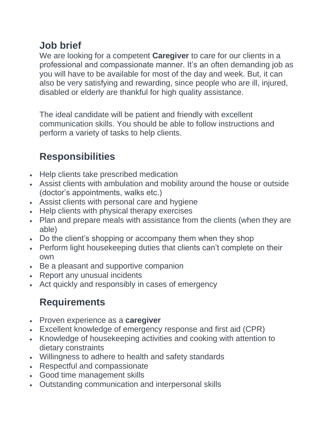## **Job brief**

We are looking for a competent **Caregiver** to care for our clients in a professional and compassionate manner. It's an often demanding job as you will have to be available for most of the day and week. But, it can also be very satisfying and rewarding, since people who are ill, injured, disabled or elderly are thankful for high quality assistance.

The ideal candidate will be patient and friendly with excellent communication skills. You should be able to follow instructions and perform a variety of tasks to help clients.

## **Responsibilities**

- Help clients take prescribed medication
- Assist clients with ambulation and mobility around the house or outside (doctor's appointments, walks etc.)
- Assist clients with personal care and hygiene
- Help clients with physical therapy exercises
- Plan and prepare meals with assistance from the clients (when they are able)
- Do the client's shopping or accompany them when they shop
- Perform light housekeeping duties that clients can't complete on their own
- Be a pleasant and supportive companion
- Report any unusual incidents
- Act quickly and responsibly in cases of emergency

## **Requirements**

- Proven experience as a **caregiver**
- Excellent knowledge of emergency response and first aid (CPR)
- Knowledge of housekeeping activities and cooking with attention to dietary constraints
- Willingness to adhere to health and safety standards
- Respectful and compassionate
- Good time management skills
- Outstanding communication and interpersonal skills